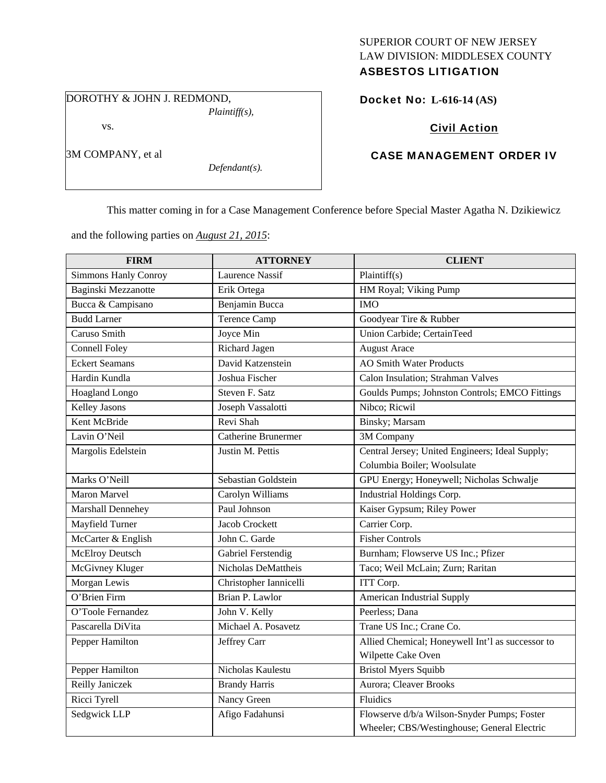# SUPERIOR COURT OF NEW JERSEY LAW DIVISION: MIDDLESEX COUNTY

# ASBESTOS LITIGATION

DOROTHY & JOHN J. REDMOND,

vs.

3M COMPANY, et al

*Plaintiff(s),* 

*Defendant(s).* 

Docket No: **L-616-14 (AS)** 

Civil Action

# CASE MANAGEMENT ORDER IV

This matter coming in for a Case Management Conference before Special Master Agatha N. Dzikiewicz

and the following parties on *August 21, 2015*:

| <b>FIRM</b>                 | <b>ATTORNEY</b>            | <b>CLIENT</b>                                    |
|-----------------------------|----------------------------|--------------------------------------------------|
| <b>Simmons Hanly Conroy</b> | <b>Laurence Nassif</b>     | Plaintiff $(s)$                                  |
| Baginski Mezzanotte         | Erik Ortega                | HM Royal; Viking Pump                            |
| Bucca & Campisano           | Benjamin Bucca             | <b>IMO</b>                                       |
| <b>Budd Larner</b>          | <b>Terence Camp</b>        | Goodyear Tire & Rubber                           |
| Caruso Smith                | Joyce Min                  | Union Carbide; CertainTeed                       |
| <b>Connell Foley</b>        | Richard Jagen              | <b>August Arace</b>                              |
| <b>Eckert Seamans</b>       | David Katzenstein          | AO Smith Water Products                          |
| Hardin Kundla               | Joshua Fischer             | Calon Insulation; Strahman Valves                |
| Hoagland Longo              | Steven F. Satz             | Goulds Pumps; Johnston Controls; EMCO Fittings   |
| Kelley Jasons               | Joseph Vassalotti          | Nibco; Ricwil                                    |
| Kent McBride                | Revi Shah                  | Binsky; Marsam                                   |
| Lavin O'Neil                | <b>Catherine Brunermer</b> | 3M Company                                       |
| Margolis Edelstein          | Justin M. Pettis           | Central Jersey; United Engineers; Ideal Supply;  |
|                             |                            | Columbia Boiler; Woolsulate                      |
| Marks O'Neill               | Sebastian Goldstein        | GPU Energy; Honeywell; Nicholas Schwalje         |
| Maron Marvel                | Carolyn Williams           | Industrial Holdings Corp.                        |
| Marshall Dennehey           | Paul Johnson               | Kaiser Gypsum; Riley Power                       |
| Mayfield Turner             | <b>Jacob Crockett</b>      | Carrier Corp.                                    |
| McCarter & English          | John C. Garde              | <b>Fisher Controls</b>                           |
| McElroy Deutsch             | Gabriel Ferstendig         | Burnham; Flowserve US Inc.; Pfizer               |
| McGivney Kluger             | Nicholas DeMattheis        | Taco; Weil McLain; Zurn; Raritan                 |
| Morgan Lewis                | Christopher Iannicelli     | ITT Corp.                                        |
| O'Brien Firm                | Brian P. Lawlor            | American Industrial Supply                       |
| O'Toole Fernandez           | John V. Kelly              | Peerless; Dana                                   |
| Pascarella DiVita           | Michael A. Posavetz        | Trane US Inc.; Crane Co.                         |
| Pepper Hamilton             | Jeffrey Carr               | Allied Chemical; Honeywell Int'l as successor to |
|                             |                            | Wilpette Cake Oven                               |
| Pepper Hamilton             | Nicholas Kaulestu          | <b>Bristol Myers Squibb</b>                      |
| Reilly Janiczek             | <b>Brandy Harris</b>       | Aurora; Cleaver Brooks                           |
| Ricci Tyrell                | Nancy Green                | Fluidics                                         |
| Sedgwick LLP                | Afigo Fadahunsi            | Flowserve d/b/a Wilson-Snyder Pumps; Foster      |
|                             |                            | Wheeler; CBS/Westinghouse; General Electric      |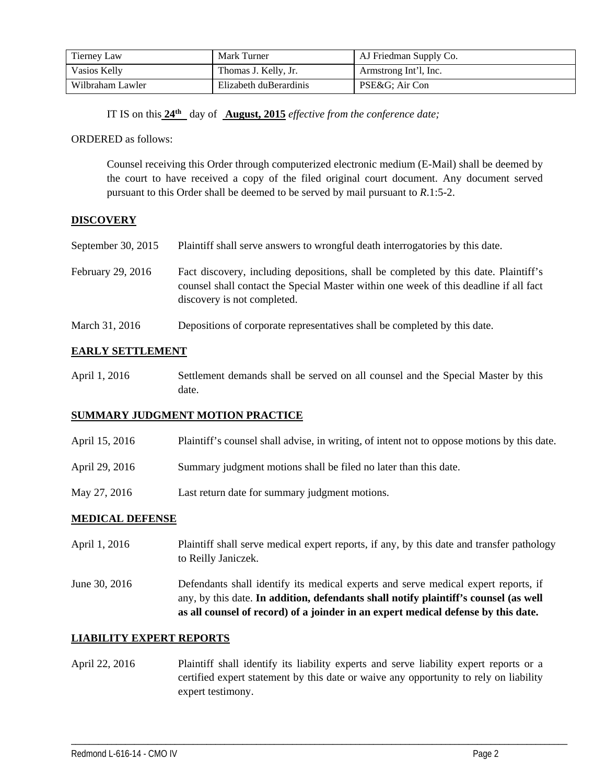| <b>Tierney Law</b> | Mark Turner            | AJ Friedman Supply Co. |
|--------------------|------------------------|------------------------|
| Vasios Kelly       | Thomas J. Kelly, Jr.   | Armstrong Int'l, Inc.  |
| Wilbraham Lawler   | Elizabeth duBerardinis | PSE&G Air Con          |

IT IS on this **24th** day of **August, 2015** *effective from the conference date;*

ORDERED as follows:

Counsel receiving this Order through computerized electronic medium (E-Mail) shall be deemed by the court to have received a copy of the filed original court document. Any document served pursuant to this Order shall be deemed to be served by mail pursuant to *R*.1:5-2.

# **DISCOVERY**

| September 30, $2015$ | Plaintiff shall serve answers to wrongful death interrogatories by this date.         |
|----------------------|---------------------------------------------------------------------------------------|
| February 29, 2016    | Fact discovery, including depositions, shall be completed by this date. Plaintiff's   |
|                      | counsel shall contact the Special Master within one week of this deadline if all fact |

March 31, 2016 Depositions of corporate representatives shall be completed by this date.

discovery is not completed.

# **EARLY SETTLEMENT**

| April 1, 2016 | Settlement demands shall be served on all counsel and the Special Master by this |
|---------------|----------------------------------------------------------------------------------|
|               | date.                                                                            |

#### **SUMMARY JUDGMENT MOTION PRACTICE**

| April 15, 2016 | Plaintiff's counsel shall advise, in writing, of intent not to oppose motions by this date. |
|----------------|---------------------------------------------------------------------------------------------|
| April 29, 2016 | Summary judgment motions shall be filed no later than this date.                            |
| May 27, 2016   | Last return date for summary judgment motions.                                              |

#### **MEDICAL DEFENSE**

- April 1, 2016 Plaintiff shall serve medical expert reports, if any, by this date and transfer pathology to Reilly Janiczek.
- June 30, 2016 Defendants shall identify its medical experts and serve medical expert reports, if any, by this date. **In addition, defendants shall notify plaintiff's counsel (as well as all counsel of record) of a joinder in an expert medical defense by this date.**

# **LIABILITY EXPERT REPORTS**

April 22, 2016 Plaintiff shall identify its liability experts and serve liability expert reports or a certified expert statement by this date or waive any opportunity to rely on liability expert testimony.

\_\_\_\_\_\_\_\_\_\_\_\_\_\_\_\_\_\_\_\_\_\_\_\_\_\_\_\_\_\_\_\_\_\_\_\_\_\_\_\_\_\_\_\_\_\_\_\_\_\_\_\_\_\_\_\_\_\_\_\_\_\_\_\_\_\_\_\_\_\_\_\_\_\_\_\_\_\_\_\_\_\_\_\_\_\_\_\_\_\_\_\_\_\_\_\_\_\_\_\_\_\_\_\_\_\_\_\_\_\_